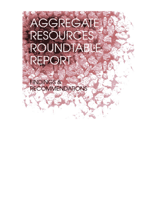# AGGREGATE RESOURCES ROUNDTABLE. REPORT.

**FINDINGS& RECOMMENDATIONS**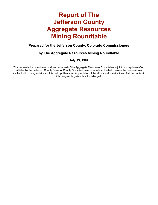# **Report of The Jefferson County Aggregate Resources Mining Roundtable**

# **Prepared for the Jefferson County, Colorado Commissioners**

# **by The Aggregate Resources Mining Roundtable**

**July 13, 1987**

This research document was produced as a part of the Aggregate Resources Roundtable, a joint public-private effort initiated by the Jefferson County Board of County Commissioners in an attempt to help resolve the controversies involved with mining activities in this metropolitan area. Appreciation of the efforts and contributions of all the parties in this program is gratefully acknowledged.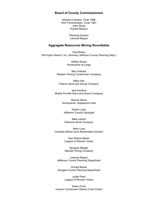#### **Board of County Commissioners**

Marjorie Clement, Chair 1986 Rich Ferdinandsen, Chair 1987 John Stone Donald Stanbro

> Planning Director Leonard Mogno

#### **Aggregate Resources Mining Roundtable**

Paul Banks HSI Hydro Search, Inc. (formerly Jefferson County Planning Dept.)

> William Boast Homeowner at Large

Mac Graham Western Paving Construction Company

Mike Hart Flatiron Sand and Gravel Company

Jack Huriburt Mobile Pre-Mix Sand and Gravel Company

> Warren Kelvie Homeowner, Applewood Area

Robert Laird Jefferson County Geologist

Mike Leidich Robinson Brick Company

Mark Loye Colorado Mined Land Reclamation Division

> Kay Palmer Marsh League of Women Voters

Sprague Mayger Asphalt Paving Company

Leonard Mogno Jefferson County Planning Department

Donald Moore Douglas County Planning Department

> Judith Pearl League of Women Voters

Karen Purre Canyon Concerned Citizens (Coal Creek)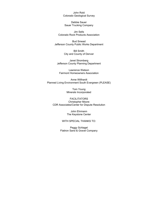John Rold Colorado Geological Survey

Debbie Sauer Sauer Trucking Company

Jim Sells Colorado Rock Products Association

Bud Smead Jefferson County Public Works Department

> Bill Smith City and County of Denver

Janet Stromberg Jefferson County Planning Department

Lawrence Watson Fairmont Homeowners Association

Anne Willhardt Planned Living Environment South Evergreen (PLEASE)

> Tom Young Minerals Incorporated

FACILITATORS Christopher Moore CDR Associates/Center for Dispute Resolution

> John Ehrmann The Keystone Center

#### WITH SPECIAL THANKS TO:

Peggy Schlagel Flatiron Sand & Gravel Company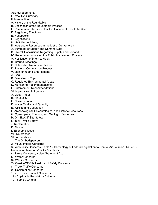#### Acknowledgements

- I. Executive Summary
- II. Introduction
- A. History of the Roundtable
- B. Description of the Roundtable Process
- C. Recommendations for How this Document Should be Used
- D. Regulatory Functions
- E. Handbooks
- F. Negotiations
- G. Definition of Mining
- III. Aggregate Resources in the Metro-Denver Area
- A. Summary of Supply and Demand Data
- B. Overall Conclusions Regarding Supply and Demand
- IV. Recommendations on the Public Involvement Process
- A. Notification of Intent to Apply
- B. Informal Meetings
- C. Notification Recommendations
- D. Planning Commission Process
- V. Monitoring and Enforcement
- A. Goal
- B. Overview of Topic
- C. Regulated Environmental Areas
- D. Monitoring Recommendations
- E. Enforcement Recommendations
- VI. Impacts and Mitigations
- A. Visual Impact
- B. Air Quality
- C. Noise Pollution
- D. Water Quality and Quantity
- E. Wildlife and Vegetation
- F. Archaeological, Paleontological and Historic Resources
- G. Open Space, Tourism, and Geologic Resources
- H. On-Site/Off-Site Safety
- I. Truck Traffic Safety
- J. Reclamation
- K. Blasting
- L. Economic Issue
- VII. References
- VIII Appendices
- 1 The Ombudsperson
- 2 visual Impact Concerns
- 3 Air Quality Concerns, Table 1 Chronology of Federal Legislation to Control Air Pollution, Table 2 National Ambient Air Quality Standards
- 4 Noise Concerns, Noise Abatement Act
- 5 Water Concerns
- 6 Wildlife Concerns
- 7 On-site/Off-Site Health and Safety Concerns
- 8 Truck Traffic Concerns
- 9 Reclamation Concerns
- 10 Economic Impact Concerns
- 11 Applicable Regulatory Authority
- 12 Sample Criteria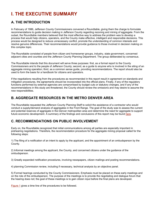# **I. THE EXECUTIVE SUMMARY**

# **A. THE INTRODUCTION**

In February of 1986, Jefferson County Commissioners convened a Roundtable, giving them the charge to formulate recommendations to guide decision making in Jefferson County regarding rezoning and mining of aggregate. From the outset, the Roundtable members believed that the most effective way to address the problem was to develop a process that would help citizens, operators, and the County make effective, intelligent and responsible decisions. This process would be designed to reduce unnecessary conflict, promote the understanding of common interests and resolve genuine differences. Their recommendations would provide guidance to those involved in decision making on this complex topic.

The Roundtable consisted of people from citizen and homeowner groups, industry, state government, concerned adjacent cities and counties and the Jefferson County Planning Department. The group deliberated by consensus.

The Roundtable intends that this document will serve three purposes: first, as a formal report to the County Commissioners and to the people of Jefferson County; second, as a guide to anyone who is involved in the siting of an aggregate mining operation; third, as a common sense guide, providing recommendations. The report should also be used to form the basis for a handbook for citizens and operators.

If the negotiations resulting from the procedures as recommended in this report result in agreement on standards and mitigation procedures, the agreements should be incorporated into the official plans. Finally, if any of the regulatory functions performed by external agencies are compromised by budget cuts or statutory changes, and if any of the recommendations in this study are threatened, the County should review the omissions and may desire to assume the new responsibilities.

# **B. AGGREGATE RESOURCES IN THE METRO DENVER AREA**

The Roundtable requested the Jefferson County Planning Staff to solicit the assistance of a contractor who would conduct a supply/demand analysis of aggregates in the Front Range. The goal of the study was to assess the current and potential reserves of aggregate in the Denver metropolitan area and determine the need for aggregate to support future economic development. A summary of the findings and conclusions of this report may be found here.

# **C. RECOMMENDATIONS ON PUBLIC INVOLVEMENT**

Early on, the Roundtable recognized that initial communications among all parties are especially important in prehearing negotiations. Therefore, the recommendation procedure for the aggregate mining proposal called for the following steps:

1) The filing of a notification of an intent to apply by the applicant, and the appointment of an ombudsperson by the County.

2) Informal meetings among the applicant, the County, and concerned citizens under the guidance of the ombudsperson.

3) Greatly expanded notification procedures, involving newspapers, citizen mailings and posting recommendations.

4) planning Commission review, including if necessary, technical analysis by an objective panel.

5) Formal hearings conducted by the County Commissioners. Emphasis must be placed on these early meetings and on the role of the ombudsperson. The purpose of the meetings is to provide the negotiating and dialogue forum that the hearing does not; the goal of these meetings is to gain citizen input before the final plans are developed.

Figure 1 gives a time line of the procedures to be followed.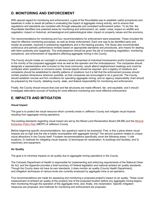# **D. MONITORING AND ENFORCEMENT**

With special regard for monitoring and enforcement, a goal of the Roundtable was to establish useful procedures and baselines in order to assist all parties in evaluating the impact of aggregate mining activity, and to ensure that regulations and standards are complied with through adequate and consistent enforcement action. To do this, the Roundtable identified nine potential areas for monitoring and enforcement: air; water; noise; impact on wildlife and vegetation; impact on historical, archaeological and paleontological sites; impact on property values and the economy.

Ten recommendations for monitoring and four recommendations for enforcement were presented. These included the need for effective monitoring processes, as well as timely enforcement. Each one was to be identified early and, insofar as possible, resolved in prehearing negotiations and in the hearing process. The Study also recommended continuous and periodic performance reviews based on appropriate standards and procedures, and means for dealing with them positively and negatively. The ombudsperson should be given the job of overseeing negotiation, monitoring compliance, and enforcement of regulations affecting aggregate mining in the County.

The County should create an oversight or advisory board comprised of individual homeowners and/or business owners in the vicinity of the proposed aggregate mine as well as the operator and the ombudsperson. The companies should designate a representative who is known to the local community, would attend neighborhood meetings and could be contacted when questions or concerns arose. Annual reports should be required, and a registry of violations and complaints should be established to identify patterns of violations; but it is felt that the enforcement process should contain positive dimensions wherever possible, so that companies are encouraged to do a good job. The County should establish concise and firm conditions for operating aggregate mining, and an agency responsibility chart should be prepared by the County, detailing county, state, and federal responsibility for monitoring and enforcement.

Finally, the County should ensure that cost and fee structures are made efficient, fair, and equitable, and it should investigate alternative sources of funding for more effective monitoring and more effective enforcement.

# **E. IMPACTS AND MITIGATION**

#### **Visual Impact**

The goal is to protect the visual resource which currently exists in Jefferson County and mitigate visual impacts resulting from aggregate mining operations.

The existing standards regarding visual impact are set by the Mined Land Reclamation Board (MLRB) and the Mineral Extraction Policy Plan (MEPP) of Jefferson County.

Before beginning specific recommendations, two questions need to be answered. First, is this a place where visual impacts are so high that the site is totally incompatible with aggregate mining? The second question relates to unique visual attractions in the County itself. Fourteen recommendations specifically cover the following areas: 1) site locations; 2) methods for mitigating visual impacts; 3) techniques for reclamation; 4) buildings and facilities; and 5) machinery and equipment.

#### **Air Quality**

The goal is to minimize impacts on air quality due to aggregate mining operations in the County.

The Colorado Department of Health is responsible for implementing and enforcing requirements of the National Clean Air Act, and the Appendix provides a brief summary of Federal legislation and national ambient air quality standards. Though the County does not have its own standards, it does monitor air quality (County Health Department), and.mitigation techniques of various kinds are currently employed by aggregate mine or pit operators.

Five recommendations are made for assessing and monitoring a proposed project's impact on air quality. These cover measurement of ambient air quality at the property line of the proposed location before any aggregate mining begins, then monitoring through the operation of the aggregate mine, and, finally, into reclamation. Specific mitigation measures are proposed, and methods for monitoring and enforcement are proposed.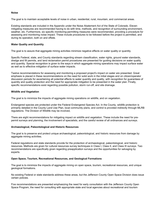#### **Noise**

The goal is to maintain acceptable levels of noise in urban, residential, rural, mountain, and commercial areas.

Existing standards are included in the Appendix under the Noise Abatement Act of the State of Colorado. Eleven mitigating measures are recommended having to do with time, methods, and recognition of surrounding environment, weather, etc. Furthermore, six specific monitoring-permitting measures were recommended, providing a procedure for assessing and monitoring noise impact. These include procedures to be followed before the project is permitted, and during its operation, both on and offsite.

#### **Water Quality and Quantity**

The goal is to assure that aggregate mining activities minimize negative effects on water quality or quantity.

Specific Federal, state, and County standards regarding stream classification, water rights, ground water standards, dredge and fill permits, and land reclamation permit procedures are presented for guiding decisions on water quality and quantity. Special recognition is given to the ways in which aggregate mining operations may impact surface water as well as to effective mitigation of surface water impacts.

Twelve recommendations for assessing and monitoring a proposed project's impact on water are presented. Great emphasis is placed in these recommendations on the need for solid work in the initial stages and on citizen/operator discussion periods for ascertaining all potential effects to water quantity and quality, with recognition for guarantees of quantity and quality protection and the need for appropriate mitigation to be presented in the water plan. Finally, specific recommendations exist regarding possible pollution, storm run-off, and site drainage.

#### **Wildlife and Vegetation**

The goal is to minimize the impacts of aggregate mining operations on wildlife, and on vegetation.

Endangered species are protected under the Federal Endangered Species Act. In the County, wildlife protection is primarily detailed in the County Land Use Plan, local community plans, and control is provided indirectly through MLRB regulations. The Division of Wildlife may be involved,

There are eight recommendations for mitigating impact on wildlife and vegetation. These include the need for prepermit surveys and planning, the involvement of specialists, and the careful review of all ordinances and surveys.

#### **Archaeological, Paleontological and Historic Resources**

The goal is to preserve and protect unique archaeological, paleontological, and historic resources from damage by aggregate mining activities.

Federal regulations and state standards provide for the protection of archaeological, paleontological, and historic resources. Methods are given for cultural resources survey techniques in Class I, Class II, and Class III surveys. Two recommendations are specifically given regarding preapplication surveys and the opportunities for salvaging by experts.

#### **Open Space, Tourism, Recreational Resources, and Geological Formations**

The goal is to minimize the impacts of aggregate mining on open space, tourism, recreational resources, and unique geological formations.

No existing Federal or state standards address these areas, but the Jefferson County Open Space Division does issue certain policies.

Five recommendations are presented emphasizing the need for early consultation with the Jefferson County Open Space Program, the need for consulting with appropriate state and local agencies about recreational and tourism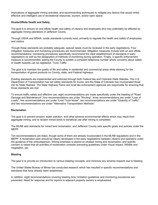implications of aggregate mining activities, and recommending techniques to mitigate any factors that would inhibit effective and intelligent use of recreational resources, tourism, and/or open space.

#### **Onsite/Offsite Health and Safety**

The goal is to ensure on and offsite health and safety of citizens and employees who may potentially be affected by aggregate mining operations in Jefferson County.

Through OSHA and MSHA, onsite standards currently exist, primarily to regulate the health and safety of employees and visitors.

Though these standards are probably adequate, special needs must be reviewed in the early negotiations. Four mitigation measures and monitoring procedures are recommended. Mitigation measures include both on and offsite recommendations; monitoring procedures specifically recommend the clear establishment of standards in early negotiations as well as the designation of methods of monitoring during operation. Finally, a specific enforcement measure is recommended, asking the County to publish a complaint telephone number where concerns about safety or health hazards can be registered. Truck Traffic

The goal is to maintain the quality of life and safety in residential and commercial areas while allowing for the transportation of gravel products on County, state, and Federal highways.

Existing standards are implemented and enforced through both Federal law and Colorado State Statutes. The U.S. Department of Transportation has set safety standards for trucks, and the State of Colorado has incorporated those into its State Statutes. The State Highway Patrol and local law enforcement agencies are responsible for ensuring that those standards are met.

To ensure traffic safety and effective use, eight recommendations are made specifically under the heading of "Road Damage and Maintenance", four recommendations are under "Routing", three recommendations are under "Loss of Loads", five recommendations are under "Limit Truck Noise", two recommendations are under "Quantity of Traffic", and two recommendations are under "Alternative Transportation Methods".

#### **Reclamation**

The goal is to prevent erosion, water pollution, and other adverse environmental effects which may result from aggregate mining, and to reclaim mined lands to beneficial use after mining is completed.

The MLRB sets standards for mined land reclamation, and Jefferson County sets specific goals and policies under the MEPP.

Ten recommendations are listed, though some of them are already incorporated in the MLRB regulations and in the MEPP. A reclamation plan should be clearly developed in the early negotiations between citizens and operators under the guidance of the ombudsperson. Strong emphasis is placed on phased mining and reclamation, and specific concern is raised that all activities of reclamation consider preceding guidelines under Visual Impact, Wildlife and Vegetation, etc.

#### **Blasting**

The goal is to provide an introduction to various blasting concepts, and minimize any adverse impacts due to blasting.

The United States Bureau of Mines has conducted research which has resulted in specific recommendations and standards that have already been established.

In addition, eight recommendations covering blasting time, limitation guidelines and monitoring procedures are presented. Need for response and for reports to adjacent property owners is emphasized.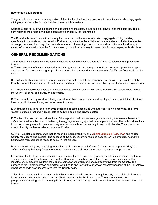#### **Economic Considerations**

The goal is to obtain an accurate appraisal of the direct and indirect socio-economic benefits and costs of aggregate mining operations in the County in order to inform policy makers.

Considerations fall into two categories: the benefits and the costs, either public or private; and the costs incurred in administering the program that has been recommended by the Roundtable.

The Roundtable recommends that a study be conducted on the economic costs of aggregate mining, relating specifically to the costs and the benefits. Furthermore, since the Roundtable recommendations included the adoption of new procedures, the hiring of an ombudsperson, and the writing, production, and distribution of a handbook, a variety of options available to the County whereby it could raise money to cover the additional expenses is also listed.

# **GENERAL RECOMMENDATIONS**

The report of the Roundtable includes the following recommendations addressing both substantive and procedural issues.

A. The conclusions of the supply and demand study, which assessed requirements of current and projected supply and demand for construction aggregate in the metropolitan area and analyzed the role of Jefferson County, should be noted.

B. The County should establish a preapplication process to facilitate interaction among citizens, applicants, and the County. Roundtable members believe that early and open communication is a vital component in addressing concerns.

C. The County should designate an ombudsperson to assist in establishing productive working relationships among the County, citizens, applicants, and operators.

D. There should be improved monitoring procedures which can be understood by all parties, and which include citizen involvement in the monitoring and enforcement process.

E. A detailed study is needed to analyze costs and benefits associated with aggregate mining activities. The term "costs" includes direct and indirect costs to both the public and private sectors.

F. The technical and procedural sections of this report should be used as a guide to identify the relevant issues and define the timeline to be used in reviewing the aggregate mining application for a particular site. The technical sections in this report are generic in nature and may or may not apply in their entirety to any particular site. They should be used to identify the issues relevant to a specific site.

G. The Roundtable recommends that its report be incorporated into the Mineral Extraction Policy Plan and related County regulations and policies. The success of the policy recommendations depends on implementation, and the Roundtable members stand ready to assist in that process.

H. A handbook on aggregate mining regulations and procedures in Jefferson County should be produced by the Jefferson County Planning Department for use by concerned citizens, industry, and government personnel.

I. The Roundtable strongly recommends, upon approval of this report, that an "implementation committee" be formed. The committee should be formed from existing Roundtable members consisting of one representative from the industry, one representative from the citizens/homeowners group, and one representative from the County. The purpose of the "implementation committee" would be to ensure that the approved recommendations of the Roundtable report are expeditiously incorporated into the County policy.

J. The Roundtable members recognize that this report is not all inclusive. It is a guidebook, not a rulebook. Issues will inevitably arise in the future which have not been addressed by the Roundtable. The ombudsperson and preapplication meetings among the applicant, citizens, and the County should be used to resolve these unaddressed issues.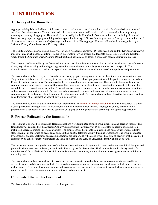# **II. INTRODUCTION**

## **A. History of the Roundtable**

Aggregate mining is historically one of the most controversial and adversarial activities on which the Commissioners must make decisions. For this reason, the Commissioners decided to convene a roundtable which could recommend policies regarding rezoning and mining of aggregate. They solicited membership for the Roundtable from diverse interests, including citizen and homeowners groups, the aggregate mining and transportation industry, Jefferson County government, State government, interested citizens, as well as representatives of adjoining counties and cities. The Aggregate Resources Roundtable was organized by the Jefferson County Commissioners in February, 1986.

The County Commissioners obtained the services of CDR Associates/ Center for Dispute Resolution and the Keystone Center, two independent conflict management firms, to design the problem solving process and facilitate the meetings. CDR and Keystone worked with the Commissioners, Planning Department, and participants to design a consensus-based documenting process.

The charge to the Roundtable by the Commissioners was clear: formulate recommendations to guide decision-making in Jefferson County regarding rezoning and mining of aggregate. Recommendations should be generic rather than site-specific. The Commissioners committed to consider incorporation of the Roundtable recommendations into County policies and procedures.

The Roundtable members recognized from the outset that aggregate mining has been, and will continue to be, an emotional issue. They believe that the most effective way to address this situation is to develop a process that will help citizens, operators, and the County to make wise decisions. This process should be designed to reduce unnecessary conflict, promote the understanding of common interests, and resolve genuine differences. The County and the applicant should expedite the process to determine the desirability of a proposed mining operation. This will protect citizens, operators, and the County from unreasonable expenditures and unnecessary, protracted conflict. The recommendations provide guidance to those involved in decision-making on this complex topic. Strengthening policy development is also recommended. The Roundtable members stress that this report is neither an endorsement of, or justification against, any mining proposal.

The Roundtable requests that its recommendations supplement The Mineral Extraction Policy Plan and be incorporated as part of County procedures and regulations. In addition, the Roundtable recommends that this report guide County planners in the preparation of a handbook for citizens and operators on aggregate mining application, permitting, and operating procedures.

## **B. Process Followed by the Roundtable**

The Roundtable operated by consensus. Recommendations were formulated through group discussion and decision-making. The Roundtable was convened by the Jefferson County Commissioners in February of 1986 to develop policies to guide decisionmaking on aggregate mining in Jefferson County. The group consisted of people from citizen and homeowner groups, industry, state government, concerned adjacent cities and counties, and the Jefferson County Planning Department. The group deliberated by consensus, and all conclusions and recommendations are supported by the entire group. This type of decision-making required all members to consider their own interests and those of others, and to carry on discussions frankly and in good faith.

The report was drafted through the course of the Roundtable's existence. Sub-groups discussed and formulated initial thoughts and proposals which were then reviewed, revised, and added to by the full Roundtable. The Roundtable met in plenary session 30 times between March 1986 and June 1987. Roundtable members spent many additional hours in work groups and as individuals reviewing materials.

The Roundtable members decided early to divide their discussions into procedural and topical recommendations. In addition, aggregate supply and demand was studied. The procedural recommendations address proposed changes in the County's decisionmaking process. The topical recommendations address substantive issues which are often controversial when aggregate mining is proposed, such as noise, transportation, and monitoring and enforcement.

## **C. Intended Use of this Document**

The Roundtable intends this document to serve three purposes: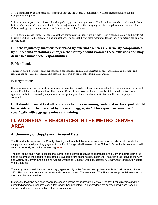1. As a formal report to the people of Jefferson County and the County Commissioners with the recommendation that it be incorporated into policy.

2. As a guide to anyone who is involved in siting of an aggregate mining operation. The Roundtable members feel strongly that the lack of information and communication have been major causes of conflict in aggregate mining applications and/or activities. Citizens and aggregate producers can benefit from the use of this document.

3. As a common sense guide. The recommendations contained in this report are just that -- recommendations only, and should not be rigidly applied to all aggregate mining applications. The applicability of these recommendations should be determined on a site specific basis.

## **D. If the regulatory functions performed by external agencies are seriously compromised by budget cuts or statutory changes, the County should examine these omissions and may desire to assume these responsibilities.**

## **E. Handbooks**

This report should be used to form the basis for a handbook for citizens and operators on aggregate mining applications and rezoning and operating procedures. This should be prepared by the County Planning Department.

### **F. Negotiations**

If negotiations result in agreements on standards or mitigation procedures, these agreements should be incorporated in the official Zoning Resolution Development Plan. The Board of County Commissioners, through County Staff, should negotiate with applicants and citizens to modify requirements or mitigation procedures if such a modification would make the proposal acceptable.

**G. It should be noted that all references to mines or mining contained in this report should be considered to be preceded by the word "aggregate." This report concerns itself specifically with aggregate mines and mining.**

# **III. AGGREGATE RESOURCES IN THE METRO-DENVER AREA**

# **A. Summary of Supply and Demand Data**

The Roundtable requested the County planning staff to solicit the assistance of a contractor who would conduct a supply/demand analysis of aggregates in the Front Range. Khalil Nasser, of the Colorado School of Mines was hired to conduct the study and write the ensuing report.

The goal of the study was to assess the current and potential reserves of aggregate in the Denver metropolitan area and to determine the need for aggregates to support future economic development. The study area included the City and County of Denver, and adjoining Adams, Arapahoe, Boulder, Douglas, Jefferson, Clear Creek, and southwestern Weld Counties.

The study determined that the present aggregate supply in the Denver metropolitan area is 400 million tons, of which 343 million tons are permitted reserves and operating mines. The remaining 57 million tons are potential reserves that are zoned but not permitted.

Historically the trend has been toward increased demand for aggregate. However, the trend could reverse and the permitted aggregate resources could last longer than projected. This study does not address downward trends in aggregate demand, consumption rates, or population.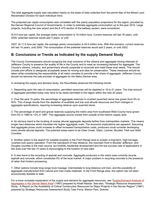The total aggregate supply was calculated mainly on the basis of data collected from the permit files of the Mined Land Reclamation Division for each individual mine.

The projected per capita consumption was correlated with the yearly population projections for the region, provided by the Denver Regional Council of Governments, in order to estimate aggregate consumption up to the year 2010. Large projects, including the new airport and the E-470 section of the beltway system, were considered.

At 8.5 tons per capita, the average yearly consumption is 19 million tons. Current reserves will last 18 years, until 2004. potential reserves would add 3 years, or until

2007. At 11.0 tons per capita, the average yearly consumption is 24.5 million tons. With this scenario, current reserves will last 14 years, until 2000. The consumption of the potential reserves would add 2 years, or until 2002.

# **B. Conclusions or Trends as Indicated by the supply Demand Study**

The County Commissioners should recognize the dual concerns of the citizens and aggregate mining interests of Jefferson County to preserve the quality of life in the County and to meet an increasing demand for aggregate. The County's citizens, industry, and government should cooperate to reconcile and meet these dual needs. This should include joint efforts to designate acceptable areas for mining and sites for preservation. These measures should be taken while considering the responsibility of all metro counties to provide a fair share of aggregate. Jefferson County should not become the sole provider of aggregate for the Metro Denver area.

In reviewing the supply and demand study, the Roundtable observed the following trends:

1. Depending upon the rate of consumption, permitted resources will be depleted in 16 to 21 years. The total amount of aggregate permitted today may have to be newly permitted in the region within the next 20 years.

2. Over the past 15 years, the percentage of aggregate reserves in crushed (quarried) stone has grown from 0% to 40%. This change results from the depletion of available and low cost alluvial resources and from changes in aggregate specifications, requiring increasing reliance upon quarried stone.

3. The percentage of sand and gravel reserves supplying the metro area from southwest Weld County have grown from 0% in 1980 to 13% in 1987. This aggregate source comes from outside of the historic supply area.

4. An obvious trend is the locating of coarse alluvial aggregate deposits farther from metropolitan markets. This means longer haul distances which translate into higher aggregate costs. The economic implications are apparent. Assuming that aggregate prices could increase to offset increased transportation costs, producers could consider developing more remote alluvial deposits. The potential areas seem to be Clear Creek, Gilpin, Larimer, Boulder, Park and Weld Counties.

5. Another option is the search for suitable property in the Front Range area to sustain a long-term, high-tonnage, crushed-rock quarry operation. From the standpoint of haul distance, the mountain front in Boulder Jefferson, and Douglas counties is the main source, but foothills residential development and the low success rate of applications in this area over the last 10 years is discouraging to the location of new sites.

6. A new trend is the recycling of asphalt and concrete. Aggregate producers in the metro area currently recycle asphalt and concrete, which constitutes 5% of the local market. A major problem in recycling concrete is the presence of rebar that hinders processing.

7. Other options include long-range truck haulage, intermediate to long distance unit train, and the possibility of aggregate manufactured from natural and man-made materials. In the Front Range area, this option has not been economically feasible to date.

For a more complete explanation of the supply and demand for aggregate resources, see "Supply/Demand Analysis of Aggregates in the Denver Metro Area" (1987) prepared by Khalil Nasser. See also, "Strategic Resource Assessment Study - A Report on the Availability of Critical Construction Resources for Major Projects in the Denver Region" (1987) prepared by Strategic Resources Assessment Study Task Force, Marion Paul, Director.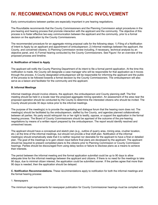# **IV. RECOMMENDATIONS ON PUBLIC INVOLVEMENT**

Early communications between parties are especially important in pre hearing negotiations.

The Roundtable recommends that the County Commissioners and the Planning Commission adopt procedures in the pre-hearing and hearing process that promote interaction with the applicant and the community. The objective of this process is to foster effective two-way communication between the applicant and the community, prior to a formal decision on the application by the County Commissioners.

The recommended procedure for an aggregate mining proposal calls for the following steps: 1) Filing of a Notification of Intent to Apply by an applicant and appointment of ombudsperson; 2) Informal meetings between the applicant, the County, and concerned citizens; 3) Planning Commission review including, if necessary, technical analysis by an objective panel, and; 4) Formal hearing conducted by the County Commissioners. See Figure I for an overview of the proposed process and timeline.

#### **A. Notification of Intent to Apply**

The applicant will notify the County Planning Department of its intent to file a formal permit application. At the time this notification is made, the County will designate a case manager who will be responsible for that application as it moves through the process. A County designated ombudsperson will be responsible for informing the applicant and the public of the process to be followed towards a formal decision by the County Commissioners. The ombudsperson will also serve as a liaison and facilitator for the community and the applicant.

#### **B. Informal Meetings**

Informal meetings should involve citizens, the applicant, the ombudsperson and County planning staff. The first meeting should be held in a locale near the proposed aggregate mining operation. An assessment of the area near the proposed operation should be conducted by the County to determine the interested citizens who should be invited. The County should provide 30 days notice prior to the informal meetings.

The purpose of the meeting(s) is to provide the negotiating and dialogue forum that the hearing room does not. The meeting(s) should be facilitated by the ombudsperson, staffed by the County, and agendas planned collaboratively between all parties. No party would relinquish his or her right to testify, oppose, or support the application in the formal hearing process. The Board of County Commissioners should be apprised of the outcome of the pre-hearing negotiations by means of a written report prepared by the ombudsperson. The report would identify resolved and unresolved issues.

The applicant should have a conceptual and sketch plan (e.g., outline of quarry area, mining area, crusher location, etc.) at the time of the informal meetings, but should not provide a final draft plan. Notification of the informal meeting(s) should emphatically state that it is neither required nor desirable for the applicant to have a final or detailed plan. The goal of the meetings is to gain citizen input before final plans are developed by the applicant. The applicant should be required to present completed plans to the citizens prior to Planning Commission or County Commission hearings. Parties should be discouraged from using delay tactics or failure to disclose plans as a means to achieve their interests.

The period between the informal meeting and the formal application submittal could be up to 90 days to allow adequate time for the informal meetings between the applicant and citizens. If there is no need for the meetings to take 90 days, due to minimal citizen interest, the application could be submitted sooner. If the parties agree that more than 90 days is needed, then the application should be delayed.

**C. Notification Recommendations.** These recommendations apply to notification for both the informal meetings and the formal hearing process:

#### 1. Newspapers

The minimum legal requirements for newspaper publication for County Commissioner hearings must be complied with.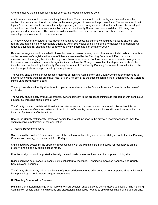Over and above the minimum legal requirements, the following should be done:

a. A formal notice should run consecutively three times. The notice should run in the legal notice and in another section of a newspaper of local circulation in the same geographic area as the proposed site. The notice should be in layman's terms and should describe the subject property in terms easily understood, not a metes and bounds legal description, and should be accompanied by an index map. County Commissioners should direct Planning Staff to prepare standards for maps. The notice should contain the case number and name and phone number of the ombudsperson to contact for more information.

2. Property Owner/Interested Parties Recommendations An executive summary should be mailed to citizens, and referral packages mailed to appropriate agencies within two weeks of the filing of the formal zoning application. On request, a full referral package may be reviewed by any interested parties at the County.

Referral packages should be mailed to those homeowners associations, public libraries, and individuals who are listed on the homeowner's registry in the area of interest maintained by the Planning Department. Each person and association on the registry has identified a geographic area of interest. For those areas where there is no organized homeowners group, other community organizations, such as the Grange or volunteer fire departments, should be identified and contacted by the County Planning Department. The County Planning Department can set a limit to the number of packets to be reproduced by the applicants.

The County should consider subscription mailings of Planning Commission and County Commissioner agendas to anyone who wants them for an annual rate (\$10 or \$15), similar to the subscription mailing of agendas by the Colorado Mined Land Reclamation Board.

The applicant should identify all adjacent property owners based on the County Assessor 5 records on the date of application.

The County should notify by mail, all property owners adjacent to the proposed mining site (properties with contiguous boundaries, including public rights-of-way).

The County may also initiate additional notices after assessing the area in which interested citizens live. It is not appropriate to predefine a set radius within which to notify people, because each locale will be unique regarding the location of potentially affected citizens.

Should the County staff identify interested parties that are not included in the previous recommendations, they too should receive a notification of the application.

#### 3. Posting Recommendations

Signs should be posted 15 days in advance of the first informal meeting and at least 30 days prior to the first Planning Commission hearing, not the current 7 to 10 days.

Signs should be posted by the applicant in consultation with the Planning Staff and public representatives on the property and along any public access roads.

Directional signs should be posted at heavily traveled roads or intersections near the proposed mining site.

Signs should be color coded to clearly distinguish informal meetings, Planning Commission hearings, and County Commissioner hearings.

The County should notify mining applicants of proposed developments adjacent to or near proposed sites which could be impacted by or could impact on quarry operations.

#### **D. Planning Commission Process**

Planning Commission hearings which follow the initial session, should also be as interactive as possible. The Planning Commission should enter into dialogues and discussions in its public hearing to allow modification of the applications.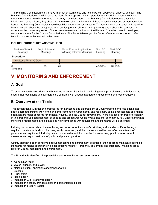The Planning Commission should have information workshops and field trips with applicants, citizens, and staff. The Planning Commission should discuss the plans for a proposed mining operation and send their observations and recommendations, in written form, to the County Commissioners. If the Planning Commission needs a technical briefing on a certain issue, they should do it in a workshop environment. If there is conflict over one or more technical issues, the Planning Commission should establish a technical review team. The team should be neutral and objective, its membership should be acceptable to all parties (county, citizens, and applicant), and it should be composed of experts on the issues in question. The technical review team will assist the Planning Commissioners in developing recommendations for the County Commissioners. The Roundtable urges the County Commissioners to also refer technical issues to this neutral review team.

#### **FIGURE I. PROCEDURES AND TIMELINES**



# **V. MONITORING AND ENFORCEMENT**

# **A. Goal**

To establish useful procedures and baselines to assist all parties in evaluating the impact of mining activities and to ensure that regulations and standards are complied with through adequate and consistent enforcement actions.

## **B. Overview of the Topic**

This section deals with generic procedures for monitoring and enforcement of County policies and regulations that affect aggregate mining. Monitoring and enforcement of environmental and regulatory compliance aspects of a mining operation are major concerns for citizens, industry, and the County government. There is a need for greater credibility in this area through establishment of policies and procedures which involve citizens, so that they fully understand what monitoring requirements are in place and how compliance with regulations and standards will be enforced.

Industry is concerned about the monitoring and enforcement issues of cost, time, and standards. If monitoring is required, the standards should be clear, easily measured, and the process should be cost-effective in terms of personnel and equipment. Industry is also concerned about the potential for excessively punitive enforcement measures and equal treatment of public and private operators.

County staff have been concerned about monitoring and enforcement because of their desire to maintain reasonable standards for mining operations in a cost-effective manner. Personnel, equipment, and budgetary limitations are a factor in County monitoring and enforcement.

The Roundtable identified nine potential areas for monitoring and enforcement.

- 1. Air pollution (dust)
- 2. Water quantity and quality
- 3. Noise pollution operations and transportation
- 4. Blasting
- 5. Truck traffic
- 6. Reclamation
- 7. Impacts on wildlife and vegetation
- 8. Impacts on historic, archaeological and paleontological sites
- 9. Impacts on property values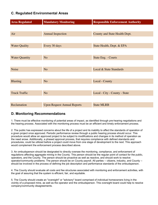# **C. Regulated Environmental Areas**

| <b>Area Regulated</b> | <b>Mandatory Monitoring</b>        | <b>Responsible Enforcement Authority</b> |
|-----------------------|------------------------------------|------------------------------------------|
|                       |                                    |                                          |
| Air                   | <b>Annual Inspection</b>           | County and State Health Dept.            |
|                       |                                    |                                          |
| <b>Water Quality</b>  | Every 30 days                      | State Health, Dept. & EPA                |
|                       |                                    |                                          |
| <b>Water Quantity</b> | N <sub>o</sub>                     | State Eng. - Courts                      |
|                       |                                    |                                          |
| <b>Noise</b>          | N <sub>o</sub>                     | Local & State Standards                  |
|                       |                                    |                                          |
| <b>Blasting</b>       | N <sub>o</sub>                     | Local - County                           |
|                       |                                    |                                          |
| <b>Truck Traffic</b>  | N <sub>o</sub>                     | Local - City - County - State            |
|                       |                                    |                                          |
| Reclamation           | <b>Upon Request Annual Reports</b> | <b>State MLRB</b>                        |

# **D. Monitoring Recommendations**

1. There must be effective monitoring of potential areas of impact, as identified through pre-hearing negotiations and the hearing process. Associated with the monitoring process must be an efficient and timely enforcement process.

2. The public has expressed concerns about the life of a project and its inability to affect the standards of operation of a given project once approved. Periodic performance review through a public hearing process should occur. This procedure would allow an approved project to be subject to modifications and changes in its method of operation as the need arose. Additionally, a phased approval process, that requires compliance with defined standards and procedures, could be utilized before a project could move from one stage of development to the next. This approach would complement the enforcement process described above.

3. An ombudsperson should be designated to directly oversee the monitoring, compliance, and enforcement of regulations affecting aggregate mining in the County. This person should be the regular point of contact for the public, operators, and the County. The person should be proactive as well as reactive, and should work to resolve operator/community problems. The person should be on County payroll. All parties -- citizens, industry, and County - should be involved in the process of defining the job description and performance standards of the ombudsperson.

4. The County should evaluate all costs and fee structures associated with monitoring and enforcement activities, with the goal of assuring that the system is efficient, fair, and equitable.

5. The County should create an "oversight" or "advisory" board comprised of individual homeowners living in the vicinity of a proposed mine, as well as the operator and the ombudsperson. This oversight board could help to resolve company/community disagreements.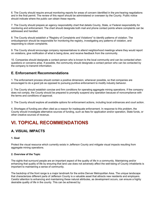6. The County should require annual monitoring reports for areas of concern identified in the pre-hearing negotiations and in the final permit. The review of this report should be administered or overseen by the County. Public notice should indicate where the public can obtain these reports.

7. The County should prepare an agency responsibility chart that details County, State, or Federal responsibility for monitoring and enforcement. The chart should designate both mail and phone contact points where complaints can be addressed and handled.

8. The County should establish a "Registry of Complaints and Violations" to identify patterns of violation. The ombudsperson should be responsible for monitoring the registry, investigating any patterns of violation, and responding to citizen complaints.

9. The County should encourage company representatives to attend neighborhood meetings where they would report on violations, give notification of what is being done, and receive feedback from the community.

10. Companies should designate a contact person who is known to the local community and can be contacted when questions or concerns arise. If possible, the community should designate a contact person who can be contacted by the company to transmit information.

# **E. Enforcement Recommendations**

1. The enforcement process should contain a positive dimension, whenever possible, so that companies are encouraged to do a good job as opposed to pursuing punitive enforcement to modify industry behavior.

2. The County should establish concise and firm conditions for operating aggregate mining operations. If the company does not comply, the County should be prepared to promptly suspend any operation because of noncompliance with the terms and conditions of approval.

3. The County should explore all available options for enforcement actions, including local ordinances and court action.

4. Shortages of funding are often cited as a reason for inadequate enforcement. In response to this problem, the County should investigate alternative sources of funding, such as fees for application and/or operation, State funds, or other creative sources of revenue.

# **VI. TOPICAL RECOMMENDATIONS**

# **A. VISUAL IMPACTS**

#### **1. Goal**

Protect the visual resource which currently exists in Jefferson County and mitigate visual impacts resulting from aggregate mining operations.

#### **2. Overview of the Topic**

The sights that surround people are an important aspect of the quality of life in a community. Maintaining and/or enhancing that quality of life by ensuring that land use does not adversely affect the well-being of County inhabitants is important to maintaining a sense of community.

The backdrop of the front range is a major landmark for the entire Denver Metropolitan Area. The unique landscape that characterizes different parts of Jefferson County is a valuable asset that attracts new residents and employers. Careful attention to enhancing and maintaining these natural attributes, as development occurs, can ensure a highly desirable quality of life in the county. This can be achieved by: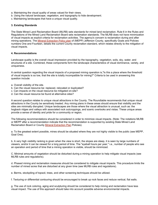- a. Maintaining the visual quality of areas valued for their views.
- b. Using the natural landscape, vegetation, and topography to hide development.
- c. Maintaining landscapes that have a unique visual quality.

#### **3. Existing Standards**

The State Mined Land Reclamation Board (MLRB) sets standards for mined land reclamation. Rule 6 in the Rules and Regulations of the Mined Land Reclamation Board sets reclamation standards. The MLRB does not have minimization of visual impacts as explicit criteria for reclamation activities. The agency's concern is reclamation during and after mining operations. The Mineral Extraction Policy plan of (MEPP) Jefferson County, specifically Goals and Policies numbers One and Fourteen, details the current County reclamation standard, which relates directly to the mitigation of visual impacts.

#### **4. Recommendations**

Landscape quality is the overall visual impression provided by the topography, vegetation, soils, sky, water, and structures of a site. Combined, these components form the landscape characteristics of visual dominance, variety, and uniqueness.

A central question regarding the visual impacts of a proposed mining operation is,"Is this a place where the threshold of visual impacts is so low, that the site is totally incompatible for mining?" Criteria to be used in answering this question include:

- a. Overall visibility of the site.
- b. Can the visual resource be: replaced, relocated or duplicated?
- c. Can impacts on the visual resource be mitigated on-site?
- d. Can the visual resource be found at alternative sites?

A second question relates to unique visual attractions in the County. The Roundtable recommends that unique visual attractions in the County be sensitively treated. Any mining plans in these areas should ensure that visibility and the sites are minimally disrupted. Unique landscapes are those where the visual attraction is unusual, such as: the hogback ridges and valleys with associated rock outcroppings, and scenic overlooks and vistas. These unique areas provide a sense of identity and pride for a community or region.

The following recommendations should be considered in order to minimize visual impacts. (Note: The notations MLRB or MEPP after a recommendation indicate that the recommendation is supported by existing State Mined Land Reclamation Board or County Mineral Extraction Plan Policies).

a. To the greatest extent possible, mines should be situated where they are not highly visible to the public (see MEPP, Goal One).

b. A very high visibility ranking is given when the view is short, the slopes are steep, it is seen by large numbers of viewers, and/or it can be viewed for a long period of time. The "eyeball hours per year," i.e., number of people who see an operation and period of time that a mining operation is visible, should be minimized.

C. Minimal amounts of vegetation should be disturbed during a mining operation to help mitigate visual impacts (see MLRB rules and regulations).

d. Phased mining and reclamation measures should be considered to mitigate visual impacts. This procedure limits the number of mined acres that are disturbed at any given time (see MLRB rules and regulations).

e. Berms, stockpiling of topsoil, trees, and other screening techniques should be utilized.

f. Texturing or differential contouring should be encouraged to break up rock faces and reduce vertical, flat walls.

g. The use of rock coloring, aging and sculpturing should be considered to help mining and reclamation have less visual impact. The use of this approach should take into account possible adverse environmental impacts.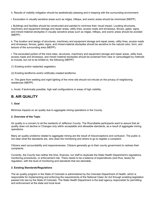h. Results of visibility mitigation should be aesthetically pleasing and in keeping with the surrounding environment.

i. Excavation in visually sensitive areas such as ridges, hilltops, and scenic areas should be minimized (MEPP).

j. Buildings and facilities should be constructed and painted to minimize their visual impact. Locating structures, machinery and equipment storage and repair areas, utility lines, access roads and driveways, fences, gates, signs, and mined-material stockpiles in visually sensitive areas such as ridges, hilltops, and scenic areas should be avoided (MEPP).

k. The location and design of structures, machinery and equipment storage and repair areas, utility lines, access roads and driveways, fences, gates, signs, and mined-material stockpiles should be sensitive to the natural color, form, and texture of the surrounding area (MEPP).

l. The excavated portion of the mine sites, structures, machinery and equipment storage and repair areas, utility lines, access roads and driveways, and mined material stockpiles should be screened from view or camouflaged by methods to include, but not to be limited to, the following (MEPP):

(1) Existing and/or replanted vegetation;

(2) Existing landforms and/or artificially created landforms.

m. The glare from welding and night lighting of the mine site should not intrude on the privacy of neighboring residences (MEPP).

n. Avoid, if technically possible, high wall configurations in areas of high visibility.

# **B. AIR QUALITY**

#### **1. Goal**

Minimize impacts on air quality due to aggregate mining operations in the County.

#### **2. Overview of the Topic**

Air quality is a concern to all the residents of Jefferson County. The Roundtable participants want to assure that air quality does not decline or Changes only within acceptable and allowable standards, as a result of aggregate mining operations.

Many air quality problems related to aggregate mining are the result of misconceptions and confusion. The public is not clear what the standards are, who does the monitoring and where to go to register a complaint.

Citizens want accountability and responsiveness. Citizens generally go to their county government to redress their complaints.

Currently, the County has neither the time, finances, nor staff to duplicate the State Health Department's regulations, monitoring procedures, or enforcement role. There needs to be a balance of expenditures (and thus, taxes) for regulation, with the level of monitoring and standards that are desirable.

#### **3. Existing Standards/Regulations**

The air quality program in the State of Colorado is administered by the Colorado Department of Health, which is responsible for implementing and enforcing the requirements of the National Clean Air Act through enabling legislation passed into law by the State of Colorado. The State Health Department is the lead agency responsible for permitting and enforcement at the state and local level.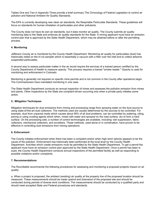Tables One and Two in Appendix Three provide a brief summary The Chronology of Federal Legislation to control air pollution and National Ambient Air Quality Standards.

The EPA is currently developing new clean air standards, the Respirable Particulate Standards. These guidelines will focus on standards for human inhalation of particulates and other pollutants.

The County does not have its own air standards, but it does monitor air quality. The County submits air quality monitoring data to the State and enforces air quality standards for the State. A mining applicant must have an emission control plan that is approved by the State Health Department, which may be obtained before or after the permitting process.

#### **4. Monitoring**

Jefferson County air is monitored by the County Health Department. Monitoring air quality for particulates (dust) has historically relied on the hi-vol sampler which is essentially a vacuum with a filter over the inlet end to collect airborne suspended particulates.

A second way to assess particulate matter in the air would require the services of a trained person certified by the County Department of Health to measure opacity. This process requires a trained "smoke reader." Opacity is used for monitoring and enforcement in Colorado.

Monitoring is generally not required on specific mine permits and is not common in the County after operations begin. The Commissioners have mandated monitoring in one case.

The State Health Department conducts an annual inspection of mines and assesses the pollution emission from mines and plants. Other inspections by the State are complaint-driven occurring only when a private party initiates some action.

#### **5.. Mitigation Techniques**

Mitigation techniques for dust emissions from mining and processing range from spraying water on the dust source to using state-of-the-art dust collectors. The methods used are usually determined by the sources to be controlled. For example, dust from unpaved roads which causes about 95% of all dust problems, can be controlled by watering, oiling, paving or using crusting agents which when, mixed with water and sprayed on the road surface, dry to form a hard surface. On the processing side, a number of control technologies are available, including: wet suppression, fabric collectors, mechanical collectors, and scrubbers. These methods, used alone or in combination, have proven to be effective in controlling dust emissions from mining operations.

#### **6. Enforcement**

The County initiates enforcement when there has been a complaint and/or when high-wind velocity appears to be the cause of the pollution. Enforcement has historically been performed at the local level by the County Health Department. Activities which create emissions must be permitted by the State Health Department. To get a permit the applicant must have an emission control plan approved by the State Health Department. Once a permit has been is sued, the County Health Department conducts annual inspections of the permitted facility as well as responding to possible violations and/or complaints.

#### **7. Recommendations**

The Roundtable recommends the following procedures for assessing and monitoring a proposed projects impact on air quality:

a. When a project is proposed, the ambient (existing) air quality at the property line of the proposed location should be measured. These measurements should be made upwind and downwind of the proposed site and should be conducted during periods of diverse wind conditions. The measurements should be conducted by a qualified party and should meet accepted State and Federal procedures and standards.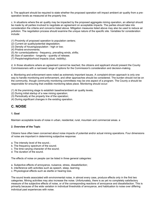b. The applicant should be required to state whether the proposed operation will impact ambient air quality from a preoperation levels as measured at the property line.

c. In situations where the air quality may be impacted by the proposed aggregate mining operation, an attempt should be made by all parties involved to negotiate an agreement on acceptable impacts. The parties should take into consideration the criteria and concerns listed above. Mitigation measures listed above may also be used to reduce air pollution. The negotiation process should examine the unique nature of the specific site. Variables for consideration include:

- (1) Proximity of proposed operation to population centers;
- (2) Current air quality/potential degradation;
- (3) Density of housing/population high or low;
- (4) Pristine environments;
- (5) Air currents/patterns frequency, prevailing winds, shifts;
- (6) Size of operation longevity quantity of release;
- (7) People/neighborhood impacts (dust, visibility).

d. In those situations where an agreement cannot be reached, the citizens and applicant should present the County Commissioners with a narrowed range of options for the Commission's consideration and decision-making.

e. Monitoring and enforcement were noted as extremely important issues. A complaint-driven approach is only one way to handle monitoring and enforcement, and other approaches should be considered. The burden should not be on the community, though community monitoring committees may be one aspect of a program. The County a should be responsible for ensuring that credible monitoring takes place. Monitoring should occur:

(1) At the premining stage to establish baseline/ambient air quality levels;

(2) During initial startup of a new mining operation;

(3) Periodically at the property line of the operation;

(4) During significant changes in the existing operation.

# **C. NOISE**

#### **1. Goal**

Maintain acceptable levels of noise in urban, residential, rural, mountain and commercial areas. a

#### **2. Overview of the Topic**

Citizens have often been concerned about noise impacts of potential and/or actual mining operations. Four dimensions of noise are important in determining subjective response:

- a. The intensity level of the sound.;
- b. The frequency spectrum of the sound;
- c. The time-varying character of the sound;
- d. The duration of the sound.

The effects of noise on people can be listed in three general categories:

- a. Subjective effects of annoyance, nuisance, stress, dissatisfaction;
- b. interference with activities such as speech, sleep, learning;
- c. Physiological effects such as startle or hearing loss.

The sound levels associated with environmental noise, in almost every case, produce effects only in the first two categories. Mining activities may also increase the noise. Unfortunately, there is as yet no completely satisfactory measure of the subjective effects of noise, or of the corresponding reactions of annoyance and dissatisfaction. This is primarily because of the wide variation in individual thresholds of annoyance, and habituation to noise over differing individual past experiences with noise.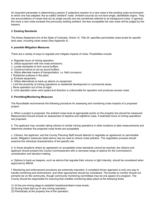An important parameter in determining a person 5 subjective reaction to a new noise is the existing noise environment to which one has adapted: the so-called 'ambient" noise. Ambient sources do not have single, identifiable origins. They are accumulations of noises that act as single sounds and are sometimes referred to as background noise. In general, the more a new noise exceeds the previously existing ambient, the less acceptable the new noise will be judged by the hearers.

#### **3. Existing Standards**

The Noise Abatement Act of the State of Colorado, Article 12, Title 25, specifies permissible noise levels for specific land uses, including urban areas (See Appendix 4).

#### **4. possible Mitigation Measures**

There are a variety of ways to regulate and mitigate impacts of noise. Possibilities include:

- a. Regulate hours of mining operation;
- b. Utilize equipment with low noise emissions;
- c. Locate stockpiles to form sound buffers;
- d. Construct berms to act as sound buffers;
- e. Utilize alternate means of transportation, i.e. field conveyors;
- f. Rubberize surfaces in the plant;
- g. Enclose equipment;
- h. Utilize alternatives to back-up alarms on equipment;
- i. Limit the proximity of mining operations to residential development or commercial areas;
- j. Move operation out of line of sight;
- k. Limit operation when wind speed and direction is unfavorable for operation and produces excess noise.

#### **5. Permitting/Monitoring Measures**

The Roundtable recommends the following procedure for assessing and monitoring noise impacts of a proposed project:

a. When a project is proposed, the ambient noise level at appropriate points on the property line should be measured. Measurement should include an assessment of daytime and nighttime noise, if extended hours of mining operations are proposed.

b. The applicant may consider taking citizens to similar mining operations in other locations to take measurements and determine whether the projected noise levels are acceptable.

c. Citizens, the applicant, and the County Planning Staff should attempt to negotiate an agreement on permissible levels. Mitigation measures listed above may be used to reduce noise pollution. The negotiation process should examine the individual characteristics of the specific site.

d. In those situations where an agreement on acceptable noise standards cannot be reached, the citizens and applicant should present the County Commissioners with a narrowed range of options for the Commission's consideration and decision-making.

e. Options to back-up beepers, such as alarms that regulate their volume or light intensity, should be considered when approved by MSHA.

f. Monitoring and enforcement provisions are extremely important. A complaint-driven approach is only one way to handle monitoring and enforcement, and other approaches should be considered. The burden to monitor should not primarily be on the community, though community monitoring committees may be one aspect of a program. The County should be responsible for ensuring that credible monitoring takes place at the following times:

- (1) At the pre-mining stage to establish baseline/ambient noise levels;
- (2) During initial start-up of new mining operation;
- (3) Periodically at the property line of the operation;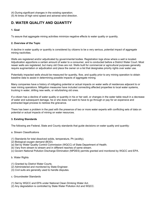(4) During significant changes in the existing operation;

(5) At times of high wind speed and adverse wind direction.

# **D. WATER QUALITY AND QUANTITY**

#### **1. Goal**

To assure that aggregate mining activities minimize negative effects to water quality or quantity.

#### **2. Overview of the Topic**

A decline in water quality or quantity is considered by citizens to be a very serious, potential impact of aggregate mining nactivities.

Wells are registered and/or adjudicated by governmental bodies. Registration logs show where a well is located. Adjudication apportions a certain amount of water to a consumer, and is conducted before a District Water Court. Most newer wells are registered, but many old Ones are not. Wells built for commercial or agricultural purposes generally require augmentation or adjudication and place the owner on a list that designates priority rights over water use.

Potentially impacted wells should be measured for quantity, flow, and quality prior to any mining operation to obtain baseline data to assist in determining possible impacts of aggregate mining.

Many companies have a history of mitigating potential or actual impacts on water wells of residences adjacent to or near mining operations. Mitigation measures have included connecting affected properties to local water systems, trucking in water, drilling new wells, or refurbishing old ones.

If a citizen has a decline of water quality or quantity in his or her well, or changes in the water table result in a decrease of water and subsequent damage, he or she does not want to have to go through or pay for an expensive and protracted legal process to redress the grievance.

There has been a problem in the past with the presence of two or more water experts with conflicting sets of data on potential or actual impacts of mining on water resources.

#### **3. Existing Standards**

The following are Federal, State and County standards that guide decisions on water quality and quantity:

- a. Stream Classifications
- (1) Standards for total dissolved solids, temperature, Ph (acidity).
- (2) Biological oxygen demand (BOD).
- (a) Set by Water Quality Control Commission (WQCC) of State Department of Health.
- (b) Vary from stream to stream and in different reaches of same stream.
- (c) Govern National Pollution Discharge Elimination (NPDES) permits granted and monitored by WQCC and EPA.

#### b. Water Rights

- (1) Granted by District Water Courts.
- (2) Administered and monitored by State Engineer.
- (3) Civil suits are generally used to handle disputes.
- c. Groundwater Standards
- (1) Set by WQCC and EPA under National Clean Drinking Water Act.
- (2) Any degradation is controlled by State Water Pollution Act and WQCC.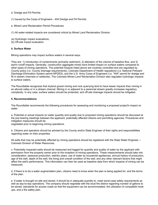- d. Dredge and Fill Permits
- (1) Issued by the Corps of Engineers 404 Dredge and Fill Permits.
- e. Mined Land Reclamation Permit Procedures
- (1) All water-related impacts are considered critical by Mined Land Reclamation Division.
- (a) Hydrologic impact evaluations;
- (b) Off-site impact evaluation.

#### **4. Surface Water**

Mining operations may impact surface waters in several ways.

They are: 1) introduction of contaminants (primarily sediment), 2) alteration of the volume of baseline flow, and 3) storm runoff impacts. Generally, construction aggregate mines have limited impact on surface waters compared to other types of mining operations. The potential impacts listed above are routinely controlled and are regulated by County policy (i.e. County drainage requirements), Colorado Department of Health regulations (i.e. National Pollutant Discharge Elimination System permit NPDES), and the U.S. Army Corps of Engineers (i.e. "404" permit for dredge and fill in stream channels or wetlands). The Colorado Mined Land Reclamation Division also regulates hydrologic impacts to surface waters.

The Roundtable recognizes that dryland gravel mining and rock quarrying tend to have lesser impacts than mining in an alluvial valley or in a stream channel. Mining in or adjacent to a perennial stream greatly increases regulatory complexity. In any case, surface waters should be protected, and off-site drainage impacts should be mitigated.

#### **5. Recommendations**

The Roundtable recommends the following procedures for assessing and monitoring a proposed project's impact on water:

a. Potential or actual impacts on water quantity and quality due to proposed mining operations should be discussed at the pre-hearing meetings between the applicant, potentially affected citizens and permitting agencies. Procedures and mitigation measures should be

negotiated prior to beginning mining operations.

b. Citizens and operators should be advised by the County and/or State Engineer of their rights and responsibilities regarding water on their properties.

All wells that may be potentially affected by mining operations should be registered with the State Water Engineer -- Colorado Division of Water Resources.

c. Potentially impacted wells should be measured and logged for quantity and quality of water by the applicant with permission from the property owner prior to the inception of mining operations. These measurements should take into consideration: seasonal production, wet/dry years, use of water by household appliances, annual history of production, age of the well, depth of the well, the lining and overall condition of the well, and any other relevant factors that might affect the well's performance. This information can then be used as baseline data from which impacts of mining can be measured.

d. If there is to be a water augmentation plan, citizens need to know when the plan is being applied for, and the terms of the plan.

e. If water is brought on-site and stored, it should be in adequate quantity to. meet worst-case safety requirements as well as day-to-day operations. The company should negotiate with the local fire district regarding number of gallons to be stored, standards for access roads so that fire equipment can be accommodated, the utilization of compatible hookups, and a fire safety plan.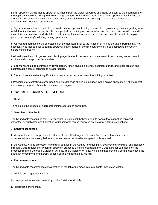f. If an applicant claims that its operation will not impact the water resources of citizens adjacent to the operation, then the applicant should be willing to make some guarantees to that effect. Guarantees by an applicant may include, but are not limited to: contingency plans, anticipatory mitigation measures, bonding or other tangible means of demonstrating good faith performance.

g. Agreements need to be made between citizens, an applicant and governmental regulatory agencies regarding who will determine if a water supply has been impacted by a mining operation, what standards and criteria will be used to make this determination, and what the time frame for the evaluation will be. These agreements need to be in place prior to the company's initiating mining operations.

h. All required permits should be obtained by the applicant prior to the initiation of mining activities. Permits may not necessarily be issued prior to zoning approval, but evidence of permit issuance should be supplied to the County before mining begins.

i. All fuel, chemicals, oil, grease, and blasting agents should be stored and maintained in such a way as to prevent accidental discharge to surface waters.

3. Sediment should be controlled by revegetation, runoff diversion ditches, sediment ponds, and other erosion and sedimentation control techniques as appropriate.

k. Stream flows should not significantly increase or decrease as a result of mining activities.

l. Provisions for controlling storm runoff and site drainage should be included in the mining application. Off-site runoff and drainage impacts should be minimized or mitigated.

# **E. WILDLIFE AND VEGETATION**

#### **1. Goal**

To minimize the impacts of aggregate mining operations on wildlife.

#### **2. Overview of the Topic**

The Roundtable recognized that it is important to distinguish between wildlife habitat that cannot be replaced, relocated, or duplicated and habitat on which impacts can be mitigated on-site or at alternative locations.

#### **3. Existing Standards**

Endangered species are protected under the Federal Endangered Species Act. Research and extensive documentation is necessary before a species can be declared endangered or threatened.

In the County, wildlife protection is primarily detailed in the County land use plan, local community plans, and indirectly through MLRB regulations. When an applicant proposes a mining operation, the MLRB asks for comments on the proposal from the Colorado Division of Wildlife. The Division of Wildlife, while it cannot prevent a permit, does have the authority to comment and thereby affect a permitting decision by MLRB.

#### **4. Recommendations**

The Roundtable recommends consideration of the following measures to mitigate impacts on wildlife:

- a. Wildlife and vegetation surveys
- (1) preapplication review preferably by the Division of Wildlife;
- (2) operational monitoring.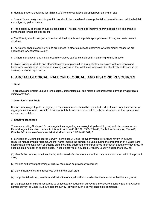b. Haulage patterns designed for minimal wildlife and vegetative disruption both on and off site.

c. Special fence designs and/or prohibitions should be considered where potential adverse effects on wildlife habitat and migratory patterns exist.

d. The possibility of offsets should be considered. The goal here is to improve nearby habitat in off-site areas to compensate for habitat loss on-site.

e. The County should recognize potential wildlife impacts and stipulate appropriate monitoring and enforcement activities.

f. The County should examine wildlife ordinances in other counties to determine whether similar measures are appropriate for Jefferson County.

g. Citizen, homeowner and mining operator surveys can be considered in monitoring wildlife impacts.

h. State Division of Wildlife and other interested group should be brought into discussions with applicants and homeowners early on in the decision-making process so that wildlife concerns can be effectively addressed in the development of an application.

# **F. ARCHAEOLOGICAL, PALEONTOLOGICAL, AND HISTORIC RESOURCES**

#### **1. Goal**

To preserve and protect unique archeological, paleontological, and historic resources from damage by aggregate mining activities.

#### **2. Overview of the Topic**

Unique archeological, paleontological, or historic resources should be evaluated and protected from disturbance by aggregate mining, when possible. It is important that everyone be sensitive to these situations, so that appropriate actions can be taken.

#### **3. Existing Standards**

There are existing State and County regulations regarding archeological, paleontological, and historic resources. Federal regulations which pertain to this topic include 43 U.S.C., 1983, Title 43, Public Lands: Interior, Part 422, Chapter 1-7. Also see Colorado-Historical Monuments CRS 24-80 501, 2.

a. Synopsis of Cultural Resource Survey Techniques A Class I is synonymous to literature review in cultural resource management programs. As that name implies the primary activities during the preparation of a Class I are examination and evaluation of existing data, including published and unpublished information about the study area, to accomplish a number of specific goals. Those objectives of a Class I Overview usually include the following:

(1) identify the number, locations, kinds, and context of cultural resources that may be encountered within the project area;

(2) the site settlement patterning of cultural resources as previously recorded;

(3) the variability of cultural resources within the project area;

(4) the potential nature, quantity, and distribution of as yet undiscovered cultural resources within the study area;

(5) the potential for cultural resources to be located by pedestrian survey and the level of intensity (either a Class II sample survey, or Class III, a 100 percent survey) at which such a survey should be conducted;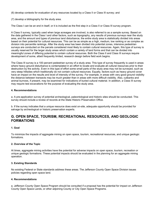(6) develop contexts for evaluation of any resources located by a Class II or Class III survey; and

(7) develop a bibliography for the study area.

The Class I can be an end in itself, or it is included as the first step in a Class II or Class III survey program.

A Class II survey, typically used when large acreages are involved, is also referred to as a sample survey. Based on the data gathered in the Class I and other factors, such as topography, any results of previous surveys near the study area, and the amount and types of previous land disturbance, the entire study area is statistically divided into areas based on their potential for cultural resources. This can be as simple as a high, medium, low ranking or as complex as division into percentile rankings. After the study area has been divided into potential zones, intensive pedestrian surveys are conducted on the parcels considered most likely to contain cultural resources. Again, this type of survey is usually reserved for the larger study areas which contain a variety of land forms and that can be divided into meaningful zones of differing potential to contain cultural resources. Both the Class II and Class III surveys require development of some, albeit frequently limited, research design before field work begins.

The Class III survey is a 100 percent pedestrian survey of a study area. This type of survey frequently is used in areas where heavy ground disturbance is contemplated in an effort to locate and evaluate all cultural resources prior to their destruction by the activity. Even in this type of effort some small parts of the study area may not be surveyed, such as very steep hillsides which traditionally do not contain cultural resources. Equally, factors such as heavy ground cover have an impact on the results and level of intensity of the survey. For example, in areas with very good ground visibility the distance between transects may be much greater than in areas with more difficult visibility. Also, cutbanks and animal burrows, if present, may be examined for indications of buried cultural material. In addition, a Class III survey may require test excavations for the purpose of evaluating the study area.

#### **4. Recommendations**

a. A pre-application survey of potential archeological, paleontological and historic sites should be conducted. This survey should include a review of records at the State Historic Preservation Office.

b. If the survey indicates that a unique resource does exist on-site, adequate opportunity should be provided for salvage by archeological or historic preservation experts.

# **G. OPEN SPACE, TOURISM, RECREATIONAL RESOURCES, AND GEOLOGIC FORMATIONS**

#### **1. Goal**

To minimize the impacts of aggregate mining on open space, tourism, recreational resources, and unique geologic formations.

#### **2. Overview of the Topic**

At times, aggregate mining activities have the potential for adverse impacts on open space, tourism, recreation or unique geologic formations. These potential impacts should be evaluated in the planning for an aggregate mining operation.

#### **3. Existing Standards**

No existing Federal or State standards address these areas. The Jefferson County Open Space Division issues policies regarding open space land.

#### **4. Recommendations**

a. Jefferson County Open Space Program should be consulted if a proposal has the potential for impact on Jefferson County Open Space Lands, or other adjoining County or City Open Space Programs.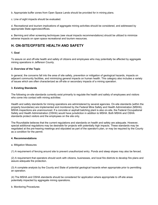b. Appropriate buffer zones from Open Space Lands should be provided for in mining plans.

c. Line of sight impacts should be evaluated.

d. Recreational and tourism implications of aggregate mining activities should be considered, and addressed by appropriate State agencies/offices.

e. Berming and other screening techniques (see visual impacts recommendations) should be utilized to minimize adverse impacts on open space recreational and tourism resources.

## **H. ON-SITE/OFFSITE HEALTH AND SAFETY**

#### **1. Goal**

To assure on and off-site health and safety of citizens and employees who may potentially be affected by aggregate mining operations in Jefferson County.

#### **2. Overview of the Topic**

In general, the concerns fall into the area of site safety, prevention or mitigation of geological hazards, impacts on adjacent community facilities, and minimizing general impacts on human health. This category also includes a variety of issues which are often characterized as off-site or secondary impacts of a mining operation.

#### **3. Existing Standards**

The following on-site standards currently exist primarily to regulate the health and safety of employees and visitors who come into contact with mining activities:

Health and safety standards for mining operations are administered by several agencies. On-site standards (within the property boundaries) are implemented and monitored by the Federal Mine Safety and Health Administration (MSHA). MSHA inspections are unannounced. If a concrete or asphalt batching plant is also on-site, the Federal Occupational Safety and Health Administration (OSHA) would have jurisdiction in addition to MSHA. Both MSHA and OSHA standards protect visitors and the employees on the site only.

The Roundtable believes that the current regulations and standards on health and safety are adequate. However, special additional regulations may be desirable for projects with potentially high impacts. These standards may be negotiated at the pre-hearing meetings and stipulated as part of the operator's plan, or may be required by the County as a condition for the permit.

#### **4. Recommendations**

#### a. Mitigation Measures

(1) A requirement of fencing around site to prevent unauthorized entry. Ponds and steep slopes may also be fenced.

(2) A requirement that operators should work with citizens, businesses, and local fire districts to develop fire plans and assure adequate fire protection.

(3) A complete analysis by the County and State of potential geological hazards when appropriate prior to permitting an operation.

(4) The MSHA and OSHA standards should be considered for application where appropriate to off-site areas potentially impacted by aggregate mining operations.

b. Monitoring Procedures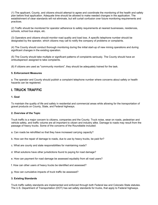(1) The applicant, County, and citizens should attempt to agree and coordinate the monitoring of the health and safety plan before final application. Adequate time should be allowed to make needed changes in the application. The establishment of clear standards will not eliminate, but will curtail confusion over future monitoring requirements and practices.

(2) Traffic should be monitored for operator adherence to safety requirements at nearest businesses, residences, schools, school bus stops, etc.

(3) Operators and citizens should monitor road quality and load loss. A specific telephone number should be designated by the operator, which citizens may call to notify the company of problems or complaints.

(4) The County should conduct thorough monitoring during the initial start-up of new mining operations and during significant changes in the existing operation.

(5) The County should take multiple or significant patterns of complaints seriously. The County should have an ombudsperson assigned to take complaints.

(6) If citizens are used as "community monitors", they should be adequately trained for the task.

#### **5. Enforcement Measures**

a. The operator and County should publish a complaint telephone number where concerns about safety or health hazards can be registered.

## **I. TRUCK TRAFFIC**

#### **1. Goal**

To maintain the quality of life and safety in residential and commercial areas while allowing for the transportation of gravel products on County, State, and Federal highways.

#### **2. Overview of the Topic**

Truck traffic is a major concern to citizens, companies and the County. Truck noise, wear on roads, pedestrian and vehicle safety, and traffic volume are all important to citizen and industry alike. Damage to roads may result from the passage of heavy trucks. Some of the concerns of the Roundtable included:

- a. Can roads be retrofitted so that they have increased carrying capacity?
- b. How can the repair of damage to roads, due to use by heavy trucks, be paid for?
- c. What are county and state responsibilities for maintaining roads?
- d. What solutions have other jurisdictions found to paying for road damage?
- e. How can payment for road damage be assessed equitably from all road users?
- f. How can other users of heavy trucks be identified and assessed?
- g. How can cumulative impacts of truck traffic be assessed?

#### **3. Existing Standards**

Truck traffic safety standards are implemented and enforced through both Federal law and Colorado State statutes. The U.S. Department of Transportation (DOT) has set safety standards for trucks, that apply to Federal highways.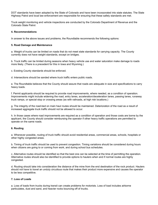DOT standards have been adopted by the State of Colorado and have been incorporated into state statutes. The State Highway Patrol and local law enforcement are responsible for ensuring that these safety standards are met.

Truck weight monitoring and vehicle inspections are conducted by the Colorado Department of Revenue and the Colorado State Patrol.

#### **4. Recommendations**

In answer to the above issues and problems, the Roundtable recommends the following options:

#### **5. Road Damage and Maintenance**

a. Weight of trucks can be limited on roads that do not meet state standards for carrying capacity. The County currently does not have weight standards, except on bridges.

b. Truck traffic can be limited during seasons when heavy vehicle use and water saturation make damage to roads more likely. (There is a precedent for this in Iowa and Wyoming.)

c. Existing County standards should be enforced.

d. Intersections should be sanded where truck traffic enters public roads.

e. The Roundtable believes that the County should assure that roads are adequate in size and specifications to carry heavy loads.

f. Permit applicants should be required to provide road improvements, where needed, as a condition of operation. Improvements might include widening the road, entry lanes, acceleration/deceleration lanes, passing lanes, runaway truck ramps, or special stop or crossing areas (as with railroads, at high risk locations.)

g. The integrity of the road-bed on main haul routes should be maintained. Deterioration of the road as a result of increased aggregate truck traffic should not be allowed to occur.

h. In those cases where road improvements are required as a condition of operation and those costs are borne by the applicant, the County should consider reimbursing the operator if other heavy traffic operations are permitted to operate on the same roads.

#### **6. Routing**

a. Whenever possible, routing of truck traffic should avoid residential areas, commercial areas, schools, hospitals or other highly congested areas.

b. Timing of truck traffic should be used to prevent congestion. Timing variations should be considered during hours when citizens are going to or coming from work, and during school bus schedules.

c. Alternative routes should be identified so that the best one can be selected at the time of permitting the operation. Alternative routes should also be identified to provide options to haulers when and if normal routes are highly congested.

d. Routing should take into consideration the distance of the mine from the end destination of the rock product. Haulers should not have to travel an unduly circuitous route that makes their product more expensive and causes the operator to be less competitive.

#### **7. Loss of Loads**

a. Loss of loads from trucks during transit can create problems for motorists. Loss of load includes airborne particulates, dust and sand, and heavier rocks bouncing off of trucks.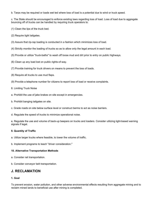b. Tarps may be required or loads wet ted where loss of load is a potential due to wind or truck speed.

c. The State should be encouraged to enforce existing laws regarding loss of load. Loss of load due to aggregate bouncing off of trucks can be handled by requiring truck operators to:

- (1) Clean the lips of the truck bed.
- (2) Require tight tailgates.
- (3) Assure that rip-rap loading is conducted in a fashion which minimizes loss of load.
- (4) Strictly monitor the loading of trucks so as to allow only the legal amount in each load.
- (5) Provide or utilize "truck-baths" to wash off loose mud and dirt prior to entry on public highways.
- (6) Clean up any load lost on public rights-of-way.
- (7) Provide training for truck drivers on means to prevent the loss of loads.
- (8) Require all trucks to use mud flaps.
- (9) Provide a telephone number for citizens to report loss of load or receive complaints.
- 8. Limiting Truck Noise
- a. Prohibit the use of jake brakes on site except in emergencies.
- b. Prohibit banging tailgates on site.
- c. Grade roads on site below surface level or construct berms to act as noise barriers.
- d. Regulate the speed of trucks to minimize operational noise.

e. Regulate the use and volume of back-up beepers on trucks and loaders. Consider utilizing light-based warning signals if legal.

#### **9. Quantity of Traffic**

- a. Utilize larger trucks where feasible, to lower the volume of traffic.
- b. Implement programs to teach "driver consideration."

#### **10. Alternative Transportation Methods**

- a. Consider rail transportation.
- b. Consider conveyor belt transportation.

# **J. RECLAMATION**

#### **1. Goal**

To prevent erosion, water pollution, and other adverse environmental effects resulting from aggregate mining and to reclaim mined lands to beneficial use after mining is completed.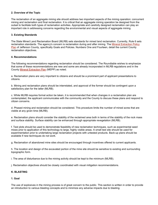#### **2. Overview of the Topic**

The reclamation of an aggregate mining site should address two important aspects of the mining operation: concurrent mining and reclamation and final reclamation. It is critical that an aggregate mining operation be designed from the outset to facilitate both types of reclamation activities. Appropriate and carefully designed reclamation can play an important role in addressing concerns regarding the environmental and visual aspects of aggregate mining.

#### **3. Existing Standards**

The State Mined Land Reclamation Board (MLRB) sets standards for mined land reclamation. Currently, Rule 6 sets reclamation standards. The agency's concern is reclamation during and after mining. The Mineral Extraction Policy Plan of Jefferson County, specifically Goals and Policies. Numbers One and Fourteen, detail the current County reclamation objectives.

#### **4. Recommendations**

The following recommendations regarding reclamation should be considered. The Roundtable wishes to emphasize that some of these recommendations are new and some are already incorporated in MLRB regulations and in the County Mineral Extraction Plan (MEPP) as noted.

a. Reclamation plans are very important to citizens and should be a prominent part of applicant presentations to citizens.

b. Mining and reclamation plans should be interrelated, and approval of the former should be contingent upon a satisfactory plan for the latter (MLRB).

c. While MLRB requires formal action be taken, it is recommended that when changes in a reclamation plan are contemplated, the applicant communicates with the community and the County to discuss these plans and respond to citizen concerns.

d. Phased mining and reclamation should be considered. This procedure limits the number of mined acres that are visible at any given time (MLRB).

e. Reclamation plans should consider the stability of the reclaimed area both in terms of the stability of the rock mass and surface stability. Surface stability can be enhanced through appropriate revegetation (MLRB).

f. Test plots should be used to demonstrate feasibility of new reclamation techniques, such as experimental seed mixes prior to application of this technology to large, highly visible areas. A small test site should be used for experimentation prior to undertaking large reclamation projects with untested products. Back-up plans should be available if new techniques do not work.

g. Reclamation of abandoned mine sites should be encouraged through incentives offered to current applicants.

h. The location and design of the excavated portion of the mine site should be sensitive to existing and surrounding topographic form.

i. The area of disturbance due to the mining activity should be kept to the minimum (MLRB).

j. Reclamation objectives should be closely coordinated with visual mitigation recommendations.

#### **K. BLASTING**

#### **1. Goal**

The use of explosives in the mining process is of great concern to the public. This section is written in order to provide an introduction to various blasting concepts and to minimize any adverse impacts due to blasting.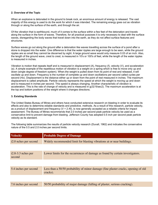#### **2. Overview of the Topic**

When an explosive is detonated in the ground to break rock, an enormous amount of energy is released. The vast majority of this energy is used to do the work for which it was intended. The remaining energy goes out as vibration through or along the surface of the earth, and through the air.

Of the vibration that is earthbound, much of it comes to the surface within a few feet of the detonation and travels along the surface in the form of waves. Therefore, for all practical purposes it is only necessary to deal with the surface waves, disregarding the body waves that travel down into the earth, as they do not affect surface features and structures.

Surface waves go out along the ground after a detonation like waves travelling across the surface of a pond after a stone is dropped into the water. One difference is that the water ripples are large enough to be seen, while the ground ripples are so small they cannot be discerned by sight. A large ground wave would only measure 0.03 of an inch. Also, the length of the ground wave, crest to crest, is measured in 10's or 100's of feet, while the length of the water ripples is measured in inches.

Vibration is motion that repeats itself and is measured in displacement (A), frequency (f), velocity (V), and acceleration (a). A simple example of the repetitious motion of vibration is a weight on a spring which is free to move only up and down (single degree of freedom system). When.the weight is pulled down from its point of rest and released, it will oscillate up and down. Frequency is the number of complete up and down oscillations per second called cycles per second (Hz). Displacement is the distance either up or down from the point of rest measured in inches. The maximum displacement is called amplitude. Particle velocity represents the speed at which the weight is moving up and down and is measured in inches per second. This speed is always changing. Another characteristic of vibration is acceleration. This is the rate of change of velocity and is measured in g(32 ft/sec2). The maximum acceleration is at the top and bottom positions of the weight where it changes directions.

#### **3. Existing Standards**

The United States Bureau of Mines and others have conducted extensive research on blasting in order to evaluate its effects and also to determine.reliable standards and predictive. methods. As a result of this research, particle velocity, as a product of displacement and frequency  $(V = 2 Af)$ , is now generally accepted as a reliable criteria for impact assessment. The Bureau of Mines recommends that 2.0 inches per second peak particle velocity be used as a conservative limit to prevent damage from blasting. Jefferson County has adopted 0.5 inch per second peak particle velocity as its standard.

The following table summarizes the results of particle velocity research (Duvall, 1962) and indicates the conservative nature of the 0.5 and 2.0 inches per second limits.

| <b>Velocity</b>                | <b>Probable Degree of Damage</b>                                                               |  |
|--------------------------------|------------------------------------------------------------------------------------------------|--|
| i2.0 nches per second          | Widely recommended limit for blasting vibrations at or near buildings.                         |  |
|                                |                                                                                                |  |
| $i2.8-3.3$ nches per<br>second | Lower limits for the occurrences of damage as found by certain investigators.                  |  |
|                                |                                                                                                |  |
| 5.4 inches per second          | Less than a 50/50 probability of minor damage (fine plaster cracks, opening of old<br>cracks). |  |
|                                |                                                                                                |  |
| 7.6 inches per second          | 50/50 probability of major damage (falling of plaster, serious cracking).                      |  |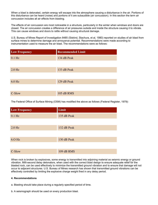When a blast is detonated, certain energy will escape into the atmosphere causing a disturbance in the air. Portions of this disturbance can be heard (noise) and portions of it are subaudible (air concussion). In this section the term air concussion includes all air effects from blasting.

The effects of air concussion are most noticeable in a structure, particularly in the winter when windows and doors are closed. The air concussion creates a difference of air pressures outside and inside the structure causing it to vibrate. This can cause windows and doors to rattle without causing structural damage.

U.S. Bureau of Mines Report of Investigation 8485 (Siskind, Stachura, et al, 1980) reported on studies of air blast from surface mines to determine damage and annoyance potential. Recommendations were made according to instrumentation used to measure the air blast. The recommendations were as follows:

| <b>Low Frequency</b> | <b>Recommended Limit</b> |
|----------------------|--------------------------|
| $0.1$ Hz             | 134 dB Peak              |
|                      |                          |
| $2.0$ Hz             | 133 dB Peak              |
|                      |                          |
| $6.0$ Hz             | 129 dB Peak              |
|                      |                          |
| C-Slow               | 105 dB RMS               |

The Federal Office of Surface Mining (OSM) has modified the above as follows (Federal Register, 1979):

| <b>Low Frequency</b> | Limit       |
|----------------------|-------------|
| $0.1$ Hz             | 135 dB Peak |
|                      |             |
| 2.0 Hz               | 132 dB Peak |
|                      |             |
| $6.0$ Hz             | 130 dB Peak |
|                      |             |
| C-Slow               | 109 dB RMS  |

When rock is broken by explosives, some energy is transmitted into adjoining material as seismic energy or ground vibration. Milli-second delay detonators, when used with the correct blast design to ensure adequate relief for the blasted rock, can be used effectively to minimize the transmitted ground vibration and to ensure that damage will not occur to adjacent structures. U.S. Bureau of Mines research has shown that transmitted ground vibrations can be effectively controlled by limiting the explosive charge weight fired in any delay period.

#### **4. Recommendations**

- a. Blasting should take place during a regularly specified period of time.
- b. A seismograph should be used on every production blast.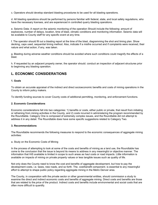c. Operators should develop standard blasting procedures to be used for all blasting operations.

d. All blasting operations should be performed by persons familiar with federal, state, and local safety regulations, who have the necessary licenses, and are experienced in controlled quarry blasting operations.

e. Seismic Data: A report on the seismic monitoring of the operation Should include the following: amount of explosives, number of delays, location, time of blast, climatic conditions and monitoring information. Seismic data will be available to County staff for any specific event at any time.

f. The operator should fill out a blasting report at the time of the blast, diagramming the shot and timing plan. Show decking, caps used, sequential timing method. Also, indicate if a misfire occurred and if complaints were received, their nature and what action, if any, was taken.

g. Blasting during adverse weather conditions should be avoided where such conditions could magnify the effects of a blast.

h. If requested by an adjacent property owner, the operator should. conduct an inspection of adjacent structures prior to beginning any blasting operation.

# **L. ECONOMIC CONSIDERATIONS**

#### **1. Goals**

To obtain an accurate appraisal of the indirect and direct socioeconomic benefits and costs of mining operations in the County to inform policy makers.

To identify funding sources to cover County costs of additional permitting, monitoring, and enforcement functions.

#### **2. Economic Considerations**

Economic considerations fall into two categories: 1) benefits or costs, either public or private, that result from initiating or refraining from mining activities in the County, and 2) costs incurred in administering the program recommended by the Roundtable. Category One is composed of extremely complex issues, and the Roundtable did not attempt to address it in any detail. The Roundtable does have some specific suggestions related to Category Two.

#### **3. Recommendations**

The Roundtable recommends the following measures to respond to the economic consequences of aggregate mining activities:

#### a. Study on the Economic Costs of Mining

In the process of attempting to look at some of the costs and benefits of mining as a land use, the Roundtable has come to the conclusion that the issue is beyond its means to address in any meaningful or objective manner. The information that HiS available is limited in scope to such areas as haul costs or road impacts. Little information is available on impacts of mining on private property values or less tangible issues such as quality of life.

Not only does the County need to know the cost and benefits of aggregate development, but how to pay the development costs, i.e. taxes, new roads, and so forth. The. cost/benefit component. is essential to any meaningful effort to attempt to shape public policy regarding aggregate mining in the Metro Denver area.

The County, in cooperation with the private sector or other governmental entities, should commission a study to examine the direct and indirect economic costs and benefits of aggregate mining. Direct costs and benefits are those that are related to the.price of the product. Indirect costs and benefits include environmental and social costs that are often more difficult to quantify.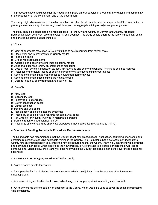The proposed study should consider the needs and impacts on four population groups: a) the citizens and community, b) the producers, c) the consumers, and d) the government.

The study might also examine or consider the effects of other developments, such as airports, landfills, racetracks, on property values as a way of assessing possible impacts of aggregate mining on adjacent property values.

The study should be conducted on a regional basis, i.e. the City and County of Denver, and Adams, Arapahoe, Boulder, Douglas, Jefferson, Weld and Clear Creek Counties. The study should address the following potential costs and benefits including, but not limited to:

(1) Costs

(a) Cost of aggregate resources to County if it has to haul resources from farther away;

- (b) Road wear and improvements on County roads;
- (c) Impact on traffic;

(d) Bridge repair/replacement;

(e) Assigning and posting weight limits on county roads;

(f) Additional expenses for law enforcement or monitoring;

(g) Loss of jobs, potential impact on tourism, tax revenues and economic benefits if mining is or is not initiated;

(h) Potential and/or actual losses or decline of property values due to mining operations;

- (i) Costs to consumers if aggregate must be hauled from farther away;
- (j) Costs to consumers if local mines are not developed;

(k) Decline in quality of environment and quality of life.

(2) Benefits

- (a) New jobs;
- (b) Secondary jobs;
- (c) Improved or better roads;
- (d) Lower construction costs;
- (e) Larger tax base;
- (f) Positive end-use of site;
- (9) Reclamation of old sites that are eyesores;
- (h) Possibility of public-private ventures for community good;
- (i) Tax write-off for industry involved in reclamation projects;
- (j) Demonstration of good neighbor policy;

(k) Possibility of lower tax rates on private properties if they depreciate in value due to mining.

#### **4. Sources of Funding Roundtable Procedural Recommendations**

The Roundtable has recommended that the County adopt new procedures for application, permitting, monitoring and enforcing regulations regarding aggregate mining in the County. The Roundtable has also recommended that the County hire an ombudsperson to oversee the new procedure and that the County Planning Department write, produce, and distribute a handbook which describes the new process. g All of the above programs or personnel will require some funding. Listed below are a variety of options by which the County could raise monies to cover these additional expenses:

a. A severance tax on aggregate extracted in the county.

b. A grant from a private foundation.

c. A cooperative funding initiative by several counties which could jointly share the services of an intercounty ombudsperson.

d. A special mining application fee to cover advertising, posting, pre application meetings, and so forth.

e. An hourly charge system paid by an applicant to the County which would be used to cover the costs of processing valid complaints.